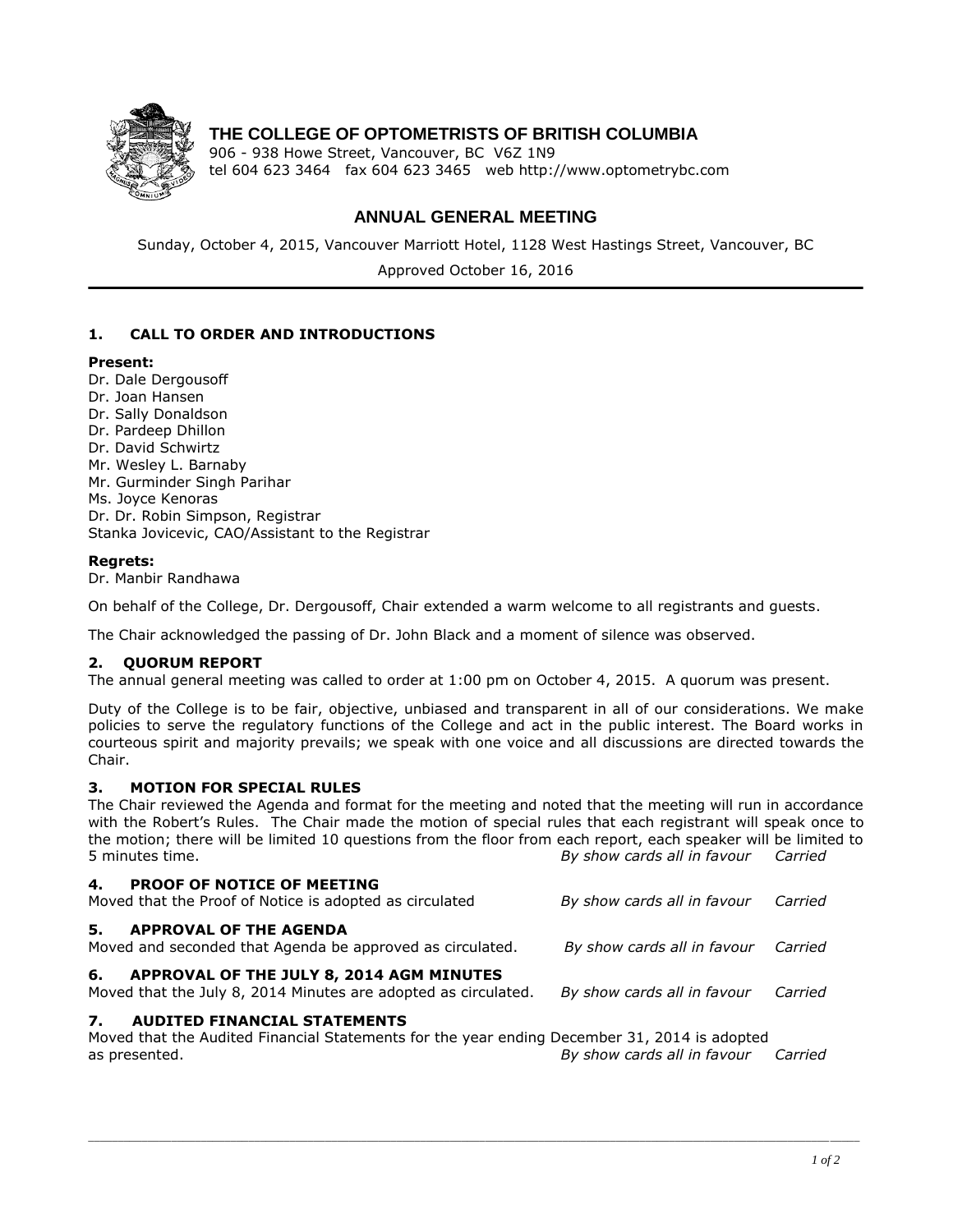

# **THE COLLEGE OF OPTOMETRISTS OF BRITISH COLUMBIA**

906 - 938 Howe Street, Vancouver, BC V6Z 1N9 tel 604 623 3464 fax 604 623 3465 web http://www.optometrybc.com

# **ANNUAL GENERAL MEETING**

Sunday, October 4, 2015, Vancouver Marriott Hotel, 1128 West Hastings Street, Vancouver, BC

Approved October 16, 2016

## **1. CALL TO ORDER AND INTRODUCTIONS**

#### **Present:**

Dr. Dale Dergousoff Dr. Joan Hansen Dr. Sally Donaldson Dr. Pardeep Dhillon Dr. David Schwirtz Mr. Wesley L. Barnaby Mr. Gurminder Singh Parihar Ms. Joyce Kenoras Dr. Dr. Robin Simpson, Registrar Stanka Jovicevic, CAO/Assistant to the Registrar

### **Regrets:**

Dr. Manbir Randhawa

On behalf of the College, Dr. Dergousoff, Chair extended a warm welcome to all registrants and guests.

The Chair acknowledged the passing of Dr. John Black and a moment of silence was observed.

### **2. QUORUM REPORT**

The annual general meeting was called to order at 1:00 pm on October 4, 2015. A quorum was present.

Duty of the College is to be fair, objective, unbiased and transparent in all of our considerations. We make policies to serve the regulatory functions of the College and act in the public interest. The Board works in courteous spirit and majority prevails; we speak with one voice and all discussions are directed towards the Chair.

### **3. MOTION FOR SPECIAL RULES**

The Chair reviewed the Agenda and format for the meeting and noted that the meeting will run in accordance with the Robert's Rules. The Chair made the motion of special rules that each registrant will speak once to the motion; there will be limited 10 questions from the floor from each report, each speaker will be limited to 5 minutes time. *By show cards all in favour Carried* 

| 4.<br><b>PROOF OF NOTICE OF MEETING</b><br>Moved that the Proof of Notice is adopted as circulated                                        | By show cards all in favour         | Carried |
|-------------------------------------------------------------------------------------------------------------------------------------------|-------------------------------------|---------|
| 5.<br><b>APPROVAL OF THE AGENDA</b><br>Moved and seconded that Agenda be approved as circulated.                                          | By show cards all in favour Carried |         |
| 6.<br>APPROVAL OF THE JULY 8, 2014 AGM MINUTES<br>Moved that the July 8, 2014 Minutes are adopted as circulated.                          | By show cards all in favour         | Carried |
| 7.<br><b>AUDITED FINANCIAL STATEMENTS</b><br>Moved that the Audited Financial Statements for the year ending December 31, 2014 is adopted |                                     |         |
| as presented.                                                                                                                             | By show cards all in favour         | Carried |

\_\_\_\_\_\_\_\_\_\_\_\_\_\_\_\_\_\_\_\_\_\_\_\_\_\_\_\_\_\_\_\_\_\_\_\_\_\_\_\_\_\_\_\_\_\_\_\_\_\_\_\_\_\_\_\_\_\_\_\_\_\_\_\_\_\_\_\_\_\_\_\_\_\_\_\_\_\_\_\_\_\_\_\_\_\_\_\_\_\_\_\_\_\_\_\_\_\_\_\_\_\_\_\_\_\_\_\_\_\_\_\_\_\_\_\_\_\_\_\_\_\_\_\_\_\_\_\_\_\_